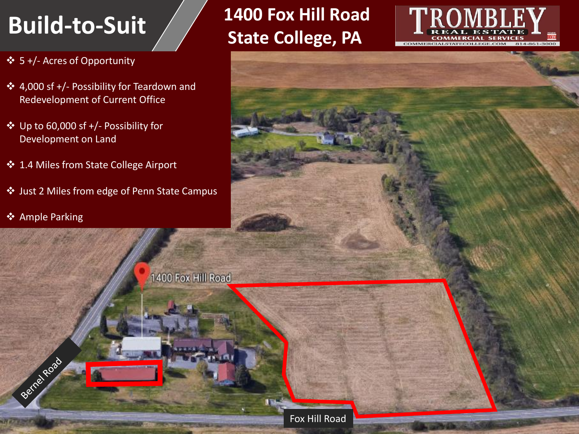- ❖ 5 +/- Acres of Opportunity
- ❖ 4,000 sf +/- Possibility for Teardown and Redevelopment of Current Office
- ❖ Up to 60,000 sf +/- Possibility for Development on Land
- ❖ 1.4 Miles from State College Airport
- ❖ Just 2 Miles from edge of Penn State Campus
- ❖ Ample Parking

Berne Road

### **1400 Fox Hill Road**  Build-to-Suit State College, PA





Fox Hill Road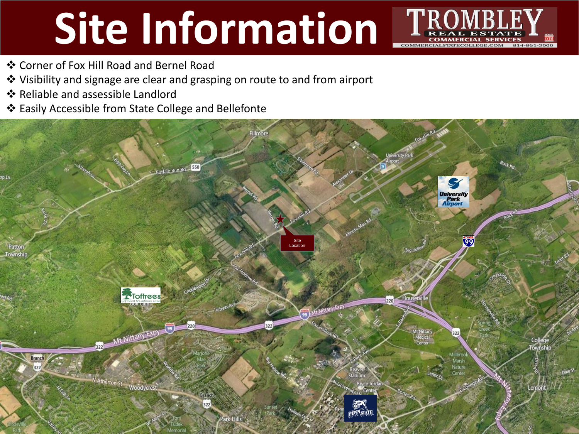# **Site Information** FR



- ❖ Corner of Fox Hill Road and Bernel Road
- ❖ Visibility and signage are clear and grasping on route to and from airport
- ❖ Reliable and assessible Landlord
- ❖ Easily Accessible from State College and Bellefonte

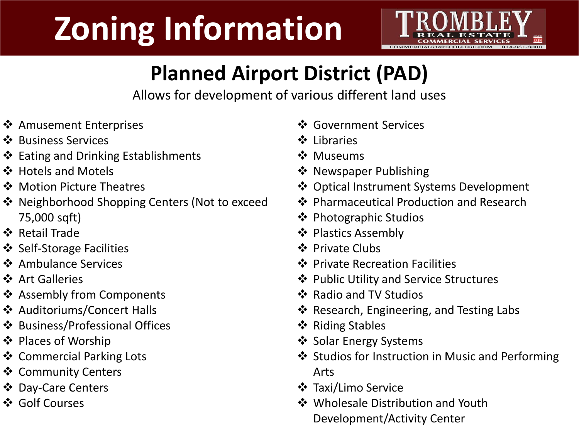## **Zoning Information**



### **Planned Airport District (PAD)**

Allows for development of various different land uses

- ❖ Amusement Enterprises
- ❖ Business Services
- ❖ Eating and Drinking Establishments
- ❖ Hotels and Motels
- ❖ Motion Picture Theatres
- ❖ Neighborhood Shopping Centers (Not to exceed 75,000 sqft)
- ❖ Retail Trade
- ❖ Self-Storage Facilities
- ❖ Ambulance Services
- ❖ Art Galleries
- ❖ Assembly from Components
- ❖ Auditoriums/Concert Halls
- ❖ Business/Professional Offices
- ❖ Places of Worship
- ❖ Commercial Parking Lots
- ❖ Community Centers
- ❖ Day-Care Centers
- ❖ Golf Courses
- ❖ Government Services
- ❖ Libraries
- ❖ Museums
- ❖ Newspaper Publishing
- ❖ Optical Instrument Systems Development
- ❖ Pharmaceutical Production and Research
- ❖ Photographic Studios
- ❖ Plastics Assembly
- ❖ Private Clubs
- ❖ Private Recreation Facilities
- ❖ Public Utility and Service Structures
- ❖ Radio and TV Studios
- ❖ Research, Engineering, and Testing Labs
- ❖ Riding Stables
- ❖ Solar Energy Systems
- ❖ Studios for Instruction in Music and Performing Arts
- ❖ Taxi/Limo Service
- ❖ Wholesale Distribution and Youth Development/Activity Center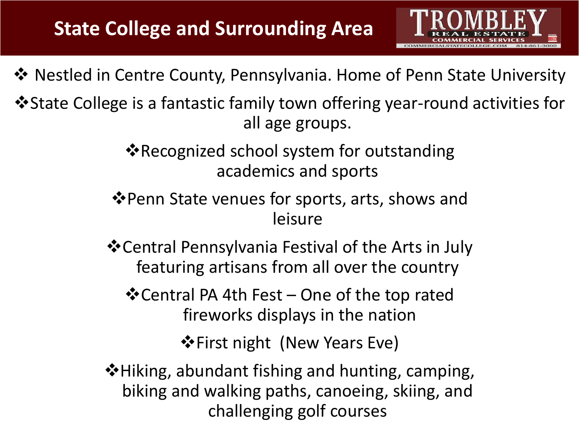

❖ Nestled in Centre County, Pennsylvania. Home of Penn State University

❖State College is a fantastic family town offering year-round activities for all age groups.

> ❖Recognized school system for outstanding academics and sports

❖Penn State venues for sports, arts, shows and leisure

❖Central Pennsylvania Festival of the Arts in July featuring artisans from all over the country

❖Central PA 4th Fest – One of the top rated fireworks displays in the nation

❖First night (New Years Eve)

❖Hiking, abundant fishing and hunting, camping, biking and walking paths, canoeing, skiing, and challenging golf courses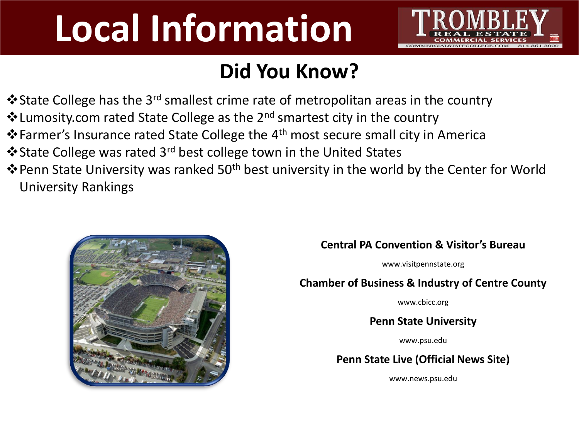## **Local Information**



### **Did You Know?**

- $\cdot$ State College has the 3<sup>rd</sup> smallest crime rate of metropolitan areas in the country
- ❖Lumosity.com rated State College as the 2nd smartest city in the country
- ❖Farmer's Insurance rated State College the 4th most secure small city in America
- ❖State College was rated 3rd best college town in the United States
- ❖Penn State University was ranked 50th best university in the world by the Center for World University Rankings



### **Central PA Convention & Visitor's Bureau**

www.visitpennstate.org

### **Chamber of Business & Industry of Centre County**

www.cbicc.org

**Penn State University**

www.psu.edu

### **Penn State Live (Official News Site)**

www.news.psu.edu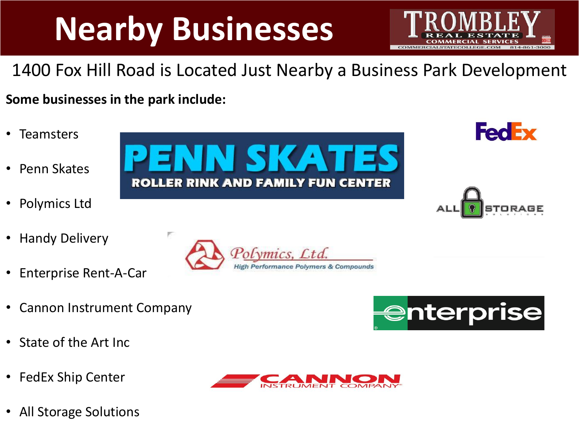## **Nearby Businesses**



### 1400 Fox Hill Road is Located Just Nearby a Business Park Development

**Some businesses in the park include:**

- Teamsters
- Penn Skates
- Polymics Ltd
- Handy Delivery
- Enterprise Rent-A-Car
- Cannon Instrument Company
- State of the Art Inc
- FedEx Ship Center
- All Storage Solutions





**FedEx**